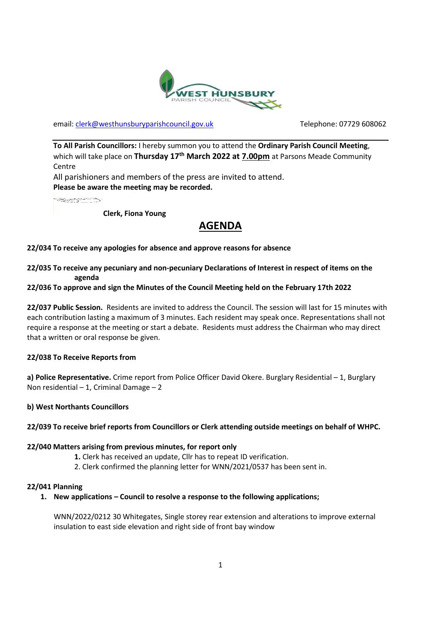

email: [clerk@westhunsburyparishcouncil.gov.uk](mailto:clerk@westhunsburyparishcouncil.gov.uk) Telephone: 07729 608062

**To All Parish Councillors:** I hereby summon you to attend the **Ordinary Parish Council Meeting**, which will take place on **Thursday 17th March 2022 at 7.00pm** at Parsons Meade Community **Centre** 

All parishioners and members of the press are invited to attend. **Please be aware the meeting may be recorded.**

**SECTION** 

**Clerk, Fiona Young**

# **AGENDA**

## **22/034 To receive any apologies for absence and approve reasons for absence**

## **22/035 To receive any pecuniary and non-pecuniary Declarations of Interest in respect of items on the agenda**

## **22/036 To approve and sign the Minutes of the Council Meeting held on the February 17th 2022**

**22/037 Public Session.** Residents are invited to address the Council. The session will last for 15 minutes with each contribution lasting a maximum of 3 minutes. Each resident may speak once. Representations shall not require a response at the meeting or start a debate. Residents must address the Chairman who may direct that a written or oral response be given.

#### **22/038 To Receive Reports from**

**a) Police Representative.** Crime report from Police Officer David Okere. Burglary Residential – 1, Burglary Non residential – 1, Criminal Damage – 2

#### **b) West Northants Councillors**

#### **22/039 To receive brief reports from Councillors or Clerk attending outside meetings on behalf of WHPC.**

#### **22/040 Matters arising from previous minutes, for report only**

- **1.** Clerk has received an update, Cllr has to repeat ID verification.
- 2. Clerk confirmed the planning letter for WNN/2021/0537 has been sent in.

#### **22/041 Planning**

#### **1. New applications – Council to resolve a response to the following applications;**

WNN/2022/0212 30 Whitegates, Single storey rear extension and alterations to improve external insulation to east side elevation and right side of front bay window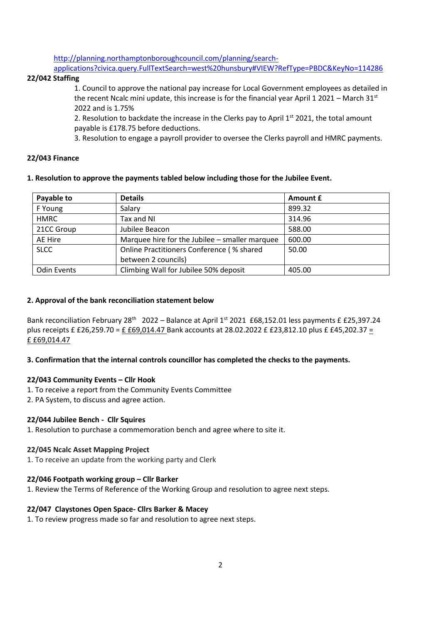[http://planning.northamptonboroughcouncil.com/planning/search-](http://planning.northamptonboroughcouncil.com/planning/search-applications?civica.query.FullTextSearch=west%20hunsbury#VIEW?RefType=PBDC&KeyNo=114286)

[applications?civica.query.FullTextSearch=west%20hunsbury#VIEW?RefType=PBDC&KeyNo=114286](http://planning.northamptonboroughcouncil.com/planning/search-applications?civica.query.FullTextSearch=west%20hunsbury#VIEW?RefType=PBDC&KeyNo=114286)

## **22/042 Staffing**

1. Council to approve the national pay increase for Local Government employees as detailed in the recent Ncalc mini update, this increase is for the financial year April 1 2021 – March 31<sup>st</sup> 2022 and is 1.75%

2. Resolution to backdate the increase in the Clerks pay to April  $1<sup>st</sup>$  2021, the total amount payable is £178.75 before deductions.

3. Resolution to engage a payroll provider to oversee the Clerks payroll and HMRC payments.

#### **22/043 Finance**

#### **1. Resolution to approve the payments tabled below including those for the Jubilee Event.**

| Payable to         | <b>Details</b>                                 | Amount £ |
|--------------------|------------------------------------------------|----------|
| F Young            | Salary                                         | 899.32   |
| <b>HMRC</b>        | Tax and NI                                     | 314.96   |
| 21CC Group         | Jubilee Beacon                                 | 588.00   |
| AE Hire            | Marquee hire for the Jubilee – smaller marquee | 600.00   |
| <b>SLCC</b>        | Online Practitioners Conference (% shared      | 50.00    |
|                    | between 2 councils)                            |          |
| <b>Odin Events</b> | Climbing Wall for Jubilee 50% deposit          | 405.00   |

#### **2. Approval of the bank reconciliation statement below**

Bank reconciliation February 28<sup>th</sup> 2022 – Balance at April 1st 2021 £68,152.01 less payments £ £25,397.24 plus receipts £ £26,259.70 = £ £69,014.47 Bank accounts at 28.02.2022 £ £23,812.10 plus £ £45,202.37 = £ £69,014.47

#### **3. Confirmation that the internal controls councillor has completed the checks to the payments.**

#### **22/043 Community Events – Cllr Hook**

- 1. To receive a report from the Community Events Committee
- 2. PA System, to discuss and agree action.

#### **22/044 Jubilee Bench - Cllr Squires**

1. Resolution to purchase a commemoration bench and agree where to site it.

#### **22/045 Ncalc Asset Mapping Project**

1. To receive an update from the working party and Clerk

#### **22/046 Footpath working group – Cllr Barker**

1. Review the Terms of Reference of the Working Group and resolution to agree next steps.

# **22/047 Claystones Open Space- Cllrs Barker & Macey**

1. To review progress made so far and resolution to agree next steps.